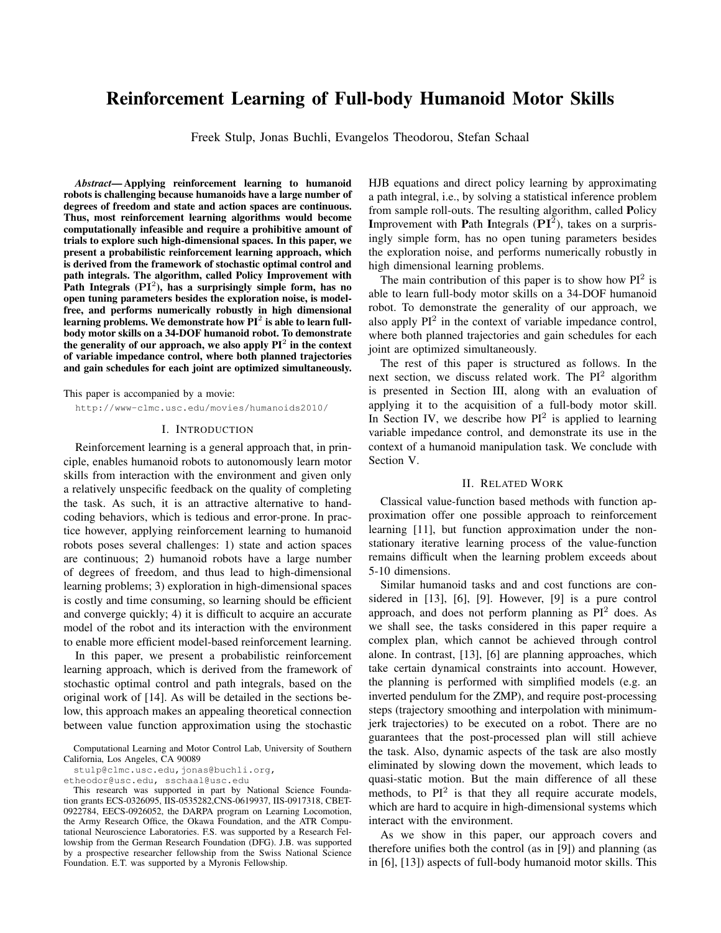# Reinforcement Learning of Full-body Humanoid Motor Skills

Freek Stulp, Jonas Buchli, Evangelos Theodorou, Stefan Schaal

*Abstract*— Applying reinforcement learning to humanoid robots is challenging because humanoids have a large number of degrees of freedom and state and action spaces are continuous. Thus, most reinforcement learning algorithms would become computationally infeasible and require a prohibitive amount of trials to explore such high-dimensional spaces. In this paper, we present a probabilistic reinforcement learning approach, which is derived from the framework of stochastic optimal control and path integrals. The algorithm, called Policy Improvement with Path Integrals  $(PI<sup>2</sup>)$ , has a surprisingly simple form, has no open tuning parameters besides the exploration noise, is modelfree, and performs numerically robustly in high dimensional learning problems. We demonstrate how  $PI^2$  is able to learn fullbody motor skills on a 34-DOF humanoid robot. To demonstrate the generality of our approach, we also apply  $PI^2$  in the context of variable impedance control, where both planned trajectories and gain schedules for each joint are optimized simultaneously.

This paper is accompanied by a movie:

http://www-clmc.usc.edu/movies/humanoids2010/

### I. INTRODUCTION

Reinforcement learning is a general approach that, in principle, enables humanoid robots to autonomously learn motor skills from interaction with the environment and given only a relatively unspecific feedback on the quality of completing the task. As such, it is an attractive alternative to handcoding behaviors, which is tedious and error-prone. In practice however, applying reinforcement learning to humanoid robots poses several challenges: 1) state and action spaces are continuous; 2) humanoid robots have a large number of degrees of freedom, and thus lead to high-dimensional learning problems; 3) exploration in high-dimensional spaces is costly and time consuming, so learning should be efficient and converge quickly; 4) it is difficult to acquire an accurate model of the robot and its interaction with the environment to enable more efficient model-based reinforcement learning.

In this paper, we present a probabilistic reinforcement learning approach, which is derived from the framework of stochastic optimal control and path integrals, based on the original work of [14]. As will be detailed in the sections below, this approach makes an appealing theoretical connection between value function approximation using the stochastic

HJB equations and direct policy learning by approximating a path integral, i.e., by solving a statistical inference problem from sample roll-outs. The resulting algorithm, called Policy Improvement with Path Integrals  $(PI^2)$ , takes on a surprisingly simple form, has no open tuning parameters besides the exploration noise, and performs numerically robustly in high dimensional learning problems.

The main contribution of this paper is to show how  $PI^2$  is able to learn full-body motor skills on a 34-DOF humanoid robot. To demonstrate the generality of our approach, we also apply  $PI<sup>2</sup>$  in the context of variable impedance control, where both planned trajectories and gain schedules for each joint are optimized simultaneously.

The rest of this paper is structured as follows. In the next section, we discuss related work. The  $PI<sup>2</sup>$  algorithm is presented in Section III, along with an evaluation of applying it to the acquisition of a full-body motor skill. In Section IV, we describe how  $PI^2$  is applied to learning variable impedance control, and demonstrate its use in the context of a humanoid manipulation task. We conclude with Section V.

#### II. RELATED WORK

Classical value-function based methods with function approximation offer one possible approach to reinforcement learning [11], but function approximation under the nonstationary iterative learning process of the value-function remains difficult when the learning problem exceeds about 5-10 dimensions.

Similar humanoid tasks and and cost functions are considered in [13], [6], [9]. However, [9] is a pure control approach, and does not perform planning as  $PI<sup>2</sup>$  does. As we shall see, the tasks considered in this paper require a complex plan, which cannot be achieved through control alone. In contrast, [13], [6] are planning approaches, which take certain dynamical constraints into account. However, the planning is performed with simplified models (e.g. an inverted pendulum for the ZMP), and require post-processing steps (trajectory smoothing and interpolation with minimumjerk trajectories) to be executed on a robot. There are no guarantees that the post-processed plan will still achieve the task. Also, dynamic aspects of the task are also mostly eliminated by slowing down the movement, which leads to quasi-static motion. But the main difference of all these methods, to  $PI^2$  is that they all require accurate models, which are hard to acquire in high-dimensional systems which interact with the environment.

As we show in this paper, our approach covers and therefore unifies both the control (as in [9]) and planning (as in [6], [13]) aspects of full-body humanoid motor skills. This

Computational Learning and Motor Control Lab, University of Southern California, Los Angeles, CA 90089

stulp@clmc.usc.edu,jonas@buchli.org,

etheodor@usc.edu, sschaal@usc.edu

This research was supported in part by National Science Foundation grants ECS-0326095, IIS-0535282,CNS-0619937, IIS-0917318, CBET-0922784, EECS-0926052, the DARPA program on Learning Locomotion, the Army Research Office, the Okawa Foundation, and the ATR Computational Neuroscience Laboratories. F.S. was supported by a Research Fellowship from the German Research Foundation (DFG). J.B. was supported by a prospective researcher fellowship from the Swiss National Science Foundation. E.T. was supported by a Myronis Fellowship.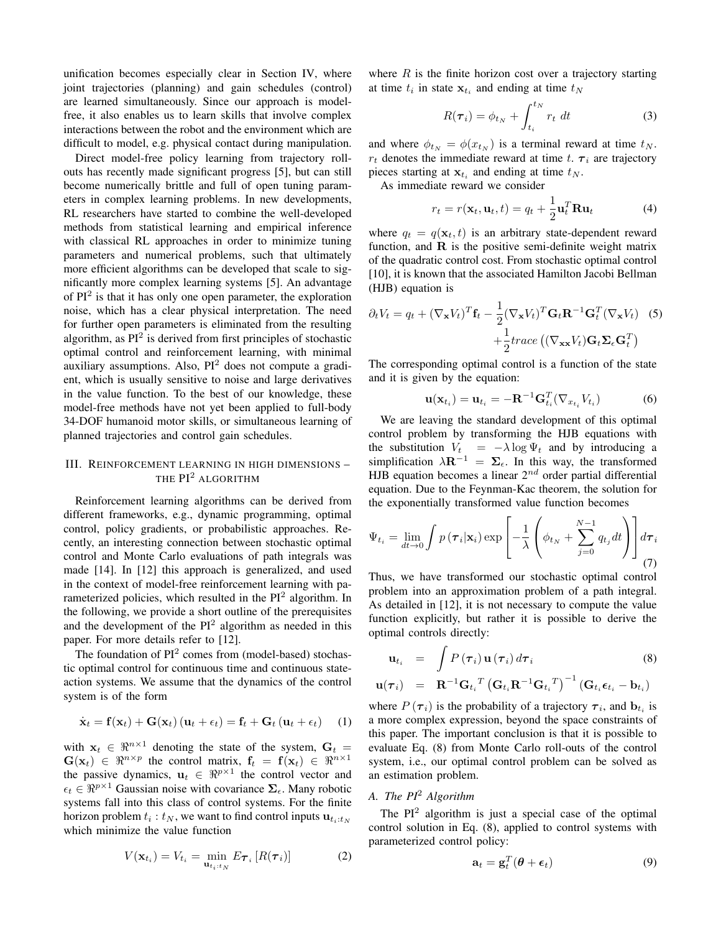unification becomes especially clear in Section IV, where joint trajectories (planning) and gain schedules (control) are learned simultaneously. Since our approach is modelfree, it also enables us to learn skills that involve complex interactions between the robot and the environment which are difficult to model, e.g. physical contact during manipulation.

Direct model-free policy learning from trajectory rollouts has recently made significant progress [5], but can still become numerically brittle and full of open tuning parameters in complex learning problems. In new developments, RL researchers have started to combine the well-developed methods from statistical learning and empirical inference with classical RL approaches in order to minimize tuning parameters and numerical problems, such that ultimately more efficient algorithms can be developed that scale to significantly more complex learning systems [5]. An advantage of  $PI<sup>2</sup>$  is that it has only one open parameter, the exploration noise, which has a clear physical interpretation. The need for further open parameters is eliminated from the resulting algorithm, as PI<sup>2</sup> is derived from first principles of stochastic optimal control and reinforcement learning, with minimal auxiliary assumptions. Also, PI<sup>2</sup> does not compute a gradient, which is usually sensitive to noise and large derivatives in the value function. To the best of our knowledge, these model-free methods have not yet been applied to full-body 34-DOF humanoid motor skills, or simultaneous learning of planned trajectories and control gain schedules.

# III. REINFORCEMENT LEARNING IN HIGH DIMENSIONS – THE PI<sup>2</sup> ALGORITHM

Reinforcement learning algorithms can be derived from different frameworks, e.g., dynamic programming, optimal control, policy gradients, or probabilistic approaches. Recently, an interesting connection between stochastic optimal control and Monte Carlo evaluations of path integrals was made [14]. In [12] this approach is generalized, and used in the context of model-free reinforcement learning with parameterized policies, which resulted in the PI<sup>2</sup> algorithm. In the following, we provide a short outline of the prerequisites and the development of the  $PI<sup>2</sup>$  algorithm as needed in this paper. For more details refer to [12].

The foundation of  $PI^2$  comes from (model-based) stochastic optimal control for continuous time and continuous stateaction systems. We assume that the dynamics of the control system is of the form

$$
\dot{\mathbf{x}}_t = \mathbf{f}(\mathbf{x}_t) + \mathbf{G}(\mathbf{x}_t) (\mathbf{u}_t + \epsilon_t) = \mathbf{f}_t + \mathbf{G}_t (\mathbf{u}_t + \epsilon_t) \quad (1)
$$

with  $x_t \in \Re^{n \times 1}$  denoting the state of the system,  $G_t =$  $\mathbf{G}(\mathbf{x}_t) \in \mathbb{R}^{n \times p}$  the control matrix,  $\mathbf{f}_t = \mathbf{f}(\mathbf{x}_t) \in \mathbb{R}^{n \times 1}$ the passive dynamics,  $\mathbf{u}_t \in \Re^{p \times 1}$  the control vector and  $\epsilon_t \in \Re^{p \times 1}$  Gaussian noise with covariance  $\Sigma_{\epsilon}$ . Many robotic systems fall into this class of control systems. For the finite horizon problem  $t_i : t_N$ , we want to find control inputs  $\mathbf{u}_{t_i:t_N}$ which minimize the value function

$$
V(\mathbf{x}_{t_i}) = V_{t_i} = \min_{\mathbf{u}_{t_i:t_N}} E_{\boldsymbol{\tau}_i} [R(\boldsymbol{\tau}_i)] \tag{2}
$$

where  $R$  is the finite horizon cost over a trajectory starting at time  $t_i$  in state  $\mathbf{x}_{t_i}$  and ending at time  $t_N$ 

$$
R(\boldsymbol{\tau}_i) = \phi_{t_N} + \int_{t_i}^{t_N} r_t \ dt \tag{3}
$$

and where  $\phi_{t_N} = \phi(x_{t_N})$  is a terminal reward at time  $t_N$ .  $r_t$  denotes the immediate reward at time t.  $\tau_i$  are trajectory pieces starting at  $\mathbf{x}_{t_i}$  and ending at time  $t_N$ .

As immediate reward we consider

$$
r_t = r(\mathbf{x}_t, \mathbf{u}_t, t) = q_t + \frac{1}{2} \mathbf{u}_t^T \mathbf{R} \mathbf{u}_t
$$
 (4)

where  $q_t = q(\mathbf{x}_t, t)$  is an arbitrary state-dependent reward function, and  $R$  is the positive semi-definite weight matrix of the quadratic control cost. From stochastic optimal control [10], it is known that the associated Hamilton Jacobi Bellman (HJB) equation is

$$
\partial_t V_t = q_t + (\nabla_{\mathbf{x}} V_t)^T \mathbf{f}_t - \frac{1}{2} (\nabla_{\mathbf{x}} V_t)^T \mathbf{G}_t \mathbf{R}^{-1} \mathbf{G}_t^T (\nabla_{\mathbf{x}} V_t) \quad (5)
$$

$$
+ \frac{1}{2} trace\left( (\nabla_{\mathbf{x}} V_t) \mathbf{G}_t \Sigma_\epsilon \mathbf{G}_t^T \right)
$$

The corresponding optimal control is a function of the state and it is given by the equation:

$$
\mathbf{u}(\mathbf{x}_{t_i}) = \mathbf{u}_{t_i} = -\mathbf{R}^{-1} \mathbf{G}_{t_i}^T (\nabla_{x_{t_i}} V_{t_i})
$$
(6)

We are leaving the standard development of this optimal control problem by transforming the HJB equations with the substitution  $V_t = -\lambda \log \Psi_t$  and by introducing a simplification  $\lambda \mathbf{R}^{-1} = \Sigma_{\epsilon}$ . In this way, the transformed HJB equation becomes a linear  $2^{nd}$  order partial differential equation. Due to the Feynman-Kac theorem, the solution for the exponentially transformed value function becomes

$$
\Psi_{t_i} = \lim_{dt \to 0} \int p(\boldsymbol{\tau}_i | \mathbf{x}_i) \exp \left[ -\frac{1}{\lambda} \left( \phi_{t_N} + \sum_{j=0}^{N-1} q_{t_j} dt \right) \right] d\boldsymbol{\tau}_i
$$
\n(7)

Thus, we have transformed our stochastic optimal control problem into an approximation problem of a path integral. As detailed in [12], it is not necessary to compute the value function explicitly, but rather it is possible to derive the optimal controls directly:

$$
\mathbf{u}_{t_i} = \int P(\boldsymbol{\tau}_i) \mathbf{u}(\boldsymbol{\tau}_i) d\boldsymbol{\tau}_i
$$
\n
$$
\mathbf{u}(\boldsymbol{\tau}_i) = \mathbf{R}^{-1} \mathbf{G}_{t_i}^T \left( \mathbf{G}_{t_i} \mathbf{R}^{-1} \mathbf{G}_{t_i}^T \right)^{-1} \left( \mathbf{G}_{t_i} \boldsymbol{\epsilon}_{t_i} - \mathbf{b}_{t_i} \right)
$$
\n(8)

where  $P(\tau_i)$  is the probability of a trajectory  $\tau_i$ , and  $\mathbf{b}_{t_i}$  is a more complex expression, beyond the space constraints of this paper. The important conclusion is that it is possible to evaluate Eq. (8) from Monte Carlo roll-outs of the control system, i.e., our optimal control problem can be solved as an estimation problem.

# *A. The PI*<sup>2</sup> *Algorithm*

The  $PI<sup>2</sup>$  algorithm is just a special case of the optimal control solution in Eq. (8), applied to control systems with parameterized control policy:

$$
\mathbf{a}_t = \mathbf{g}_t^T(\boldsymbol{\theta} + \boldsymbol{\epsilon}_t) \tag{9}
$$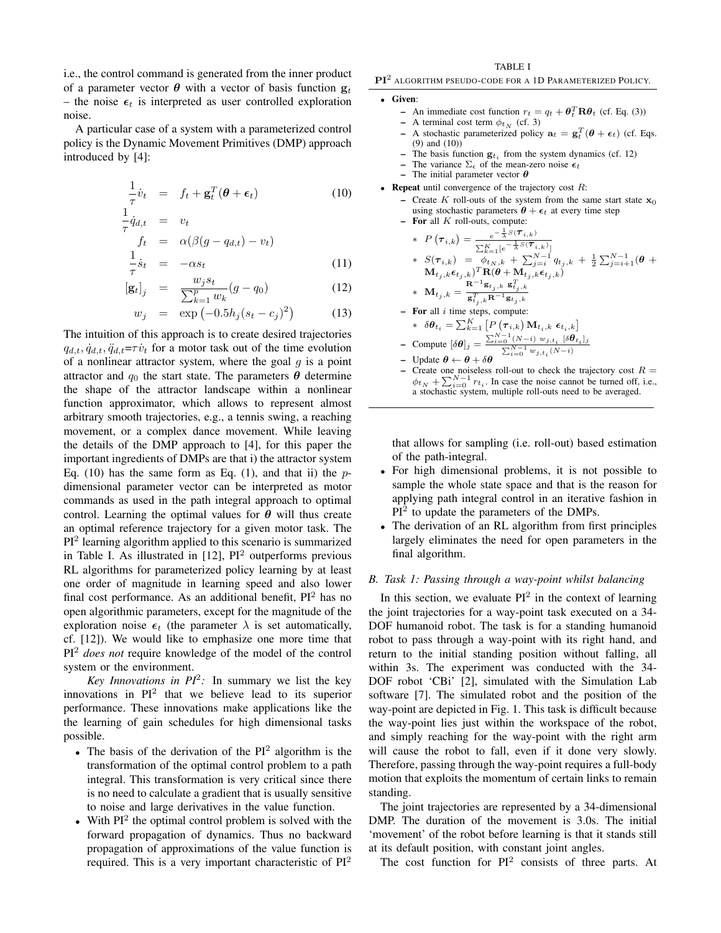i.e., the control command is generated from the inner product of a parameter vector  $\theta$  with a vector of basis function  $g_t$ – the noise  $\epsilon_t$  is interpreted as user controlled exploration noise.

A particular case of a system with a parameterized control policy is the Dynamic Movement Primitives (DMP) approach introduced by [4]:

$$
\frac{1}{\tau}\dot{v}_t = f_t + \mathbf{g}_t^T(\boldsymbol{\theta} + \boldsymbol{\epsilon}_t)
$$
\n(10)

$$
\frac{1}{\tau} \dot{q}_{d,t} = v_t
$$
\n
$$
\begin{aligned}\nf_t &= \alpha(\beta(g - q_{d,t}) - v_t) \\
1.\n\end{aligned}
$$
\n(11)

$$
\frac{1}{\tau}\dot{s}_t = -\alpha s_t \tag{11}
$$

$$
[\mathbf{g}_t]_j = \frac{w_j s_t}{\sum_{k=1}^p w_k} (g - q_0) \tag{12}
$$

$$
w_j = \exp(-0.5h_j(s_t - c_j)^2)
$$
 (13)

The intuition of this approach is to create desired trajectories  $q_{d,t}, \dot{q}_{d,t}, \ddot{q}_{d,t} = \tau \dot{v}_t$  for a motor task out of the time evolution of a nonlinear attractor system, where the goal  $g$  is a point attractor and  $q_0$  the start state. The parameters  $\theta$  determine the shape of the attractor landscape within a nonlinear function approximator, which allows to represent almost arbitrary smooth trajectories, e.g., a tennis swing, a reaching movement, or a complex dance movement. While leaving the details of the DMP approach to [4], for this paper the important ingredients of DMPs are that i) the attractor system Eq. (10) has the same form as Eq. (1), and that ii) the  $p$ dimensional parameter vector can be interpreted as motor commands as used in the path integral approach to optimal control. Learning the optimal values for  $\theta$  will thus create an optimal reference trajectory for a given motor task. The PI<sup>2</sup> learning algorithm applied to this scenario is summarized in Table I. As illustrated in  $[12]$ ,  $PI<sup>2</sup>$  outperforms previous RL algorithms for parameterized policy learning by at least one order of magnitude in learning speed and also lower final cost performance. As an additional benefit,  $PI<sup>2</sup>$  has no open algorithmic parameters, except for the magnitude of the exploration noise  $\epsilon_t$  (the parameter  $\lambda$  is set automatically, cf. [12]). We would like to emphasize one more time that PI<sup>2</sup> *does not* require knowledge of the model of the control system or the environment.

*Key Innovations in*  $PI^2$ *:* In summary we list the key innovations in  $PI^2$  that we believe lead to its superior performance. These innovations make applications like the the learning of gain schedules for high dimensional tasks possible.

- The basis of the derivation of the  $PI<sup>2</sup>$  algorithm is the transformation of the optimal control problem to a path integral. This transformation is very critical since there is no need to calculate a gradient that is usually sensitive to noise and large derivatives in the value function.
- With  $PI<sup>2</sup>$  the optimal control problem is solved with the forward propagation of dynamics. Thus no backward propagation of approximations of the value function is required. This is a very important characteristic of  $PI^2$

#### TABLE I

PI<sup>2</sup> ALGORITHM PSEUDO-CODE FOR A 1D PARAMETERIZED POLICY.

#### Given:

- An immediate cost function  $r_t = q_t + \theta_t^T \mathbf{R} \theta_t$  (cf. Eq. (3))
- A terminal cost term  $\phi_{t_N}$  (cf. 3)<br>– A stochastic parameterized policy
- A stochastic parameterized policy  $\mathbf{a}_t = \mathbf{g}_t^T(\boldsymbol{\theta} + \boldsymbol{\epsilon}_t)$  (cf. Eqs. (9) and (10))
- The basis function  $g_{t_i}$  from the system dynamics (cf. 12)
- The variance  $\Sigma_{\epsilon}$  of the mean-zero noise  $\epsilon_t$
- The initial parameter vector  $\theta$
- Repeat until convergence of the trajectory cost  $R$ :
	- Create K roll-outs of the system from the same start state  $x_0$ using stochastic parameters  $\theta + \epsilon_t$  at every time step  $-$  For all  $K$  roll-outs, compute:
	- \*  $P(\boldsymbol{\tau}_{i,k}) = \frac{e^{-\frac{1}{\lambda}S(\boldsymbol{\tau}_{i,k})}}{e^{-\frac{1}{\lambda}S(\boldsymbol{\tau}_{i,k})}}$  $\sum_{k=1}^K [e^{-\frac{1}{\lambda}S(\boldsymbol{\tau}_{i,k})}]$ \*  $S(\tau_{i,k}) = \int_{t_N, k}^{t_N-1} \phi_{t_N, k} + \sum_{j=i}^{N-1} q_{t_j, k} + \frac{1}{2} \sum_{j=i+1}^{N-1} (\theta +$  $(\mathbf{M}_{t_j, k} \boldsymbol{\epsilon}_{t_j, k})^T \mathbf{R}(\boldsymbol{\theta} + \mathbf{M}_{t_j, k} \boldsymbol{\epsilon}_{t_j, k})$  $* \quad \mathbf{M}_{t_j, k} = \frac{\mathbf{R}^{-1} \mathbf{g}_{t_j, k} \ \mathbf{g}_{t_j, k}^T}{\mathbf{g}_{t_j, k}^T \mathbf{R}^{-1} \mathbf{g}_{t_j, k}}$  $-$  For all  $i$  time steps, compute: \*  $\delta \boldsymbol{\theta}_{t_i} = \sum_{k=1}^{K} \left[ P\left(\boldsymbol{\tau}_{i,k}\right) \mathbf{M}_{t_i,k} \ \boldsymbol{\epsilon}_{t_i,k} \right]$ - Compute  $[\delta \theta]_j = \frac{\sum_{i=0}^{N-1} (N-i) w_{j,t_i} [\delta \theta_{t_i}]_j}{\sum_{i=0}^{N-1} w_{i,i} (\delta t_i)}$  $P$  – Compute [*o***v**]*j* –  $\sum_{i=0}^{N-1} w_{j,t_i}(N-i)$ <br>
	– Update θ ← θ + δθ
	- Create one noiseless roll-out to check the trajectory cost  $R =$  $\phi_{t_N} + \sum_{i=0}^{N-1} r_{t_i}$ . In case the noise cannot be turned off, i.e., a stochastic system, multiple roll-outs need to be averaged.

that allows for sampling (i.e. roll-out) based estimation of the path-integral.

- For high dimensional problems, it is not possible to sample the whole state space and that is the reason for applying path integral control in an iterative fashion in  $PI<sup>2</sup>$  to update the parameters of the DMPs.
- The derivation of an RL algorithm from first principles largely eliminates the need for open parameters in the final algorithm.

### *B. Task 1: Passing through a way-point whilst balancing*

In this section, we evaluate  $PI^2$  in the context of learning the joint trajectories for a way-point task executed on a 34- DOF humanoid robot. The task is for a standing humanoid robot to pass through a way-point with its right hand, and return to the initial standing position without falling, all within 3s. The experiment was conducted with the 34- DOF robot 'CBi' [2], simulated with the Simulation Lab software [7]. The simulated robot and the position of the way-point are depicted in Fig. 1. This task is difficult because the way-point lies just within the workspace of the robot, and simply reaching for the way-point with the right arm will cause the robot to fall, even if it done very slowly. Therefore, passing through the way-point requires a full-body motion that exploits the momentum of certain links to remain standing.

The joint trajectories are represented by a 34-dimensional DMP. The duration of the movement is 3.0s. The initial 'movement' of the robot before learning is that it stands still at its default position, with constant joint angles.

The cost function for  $PI^2$  consists of three parts. At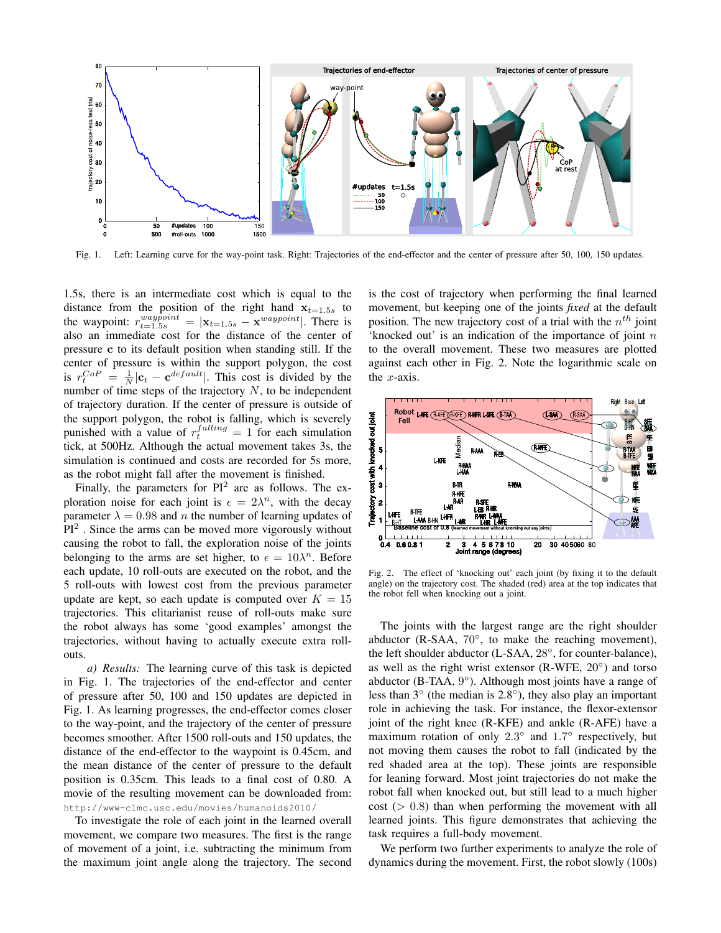

Fig. 1. Left: Learning curve for the way-point task. Right: Trajectories of the end-effector and the center of pressure after 50, 100, 150 updates.

1.5s, there is an intermediate cost which is equal to the distance from the position of the right hand  $x_{t=1.5s}$  to the waypoint:  $r_{t=1.5s}^{waypoint} = |\mathbf{x}_{t=1.5s} - \mathbf{x}^{waypoint}|$ . There is also an immediate cost for the distance of the center of pressure c to its default position when standing still. If the center of pressure is within the support polygon, the cost is  $r_t^{CoP} = \frac{1}{N} |\mathbf{c}_t - \mathbf{c}^{default}|$ . This cost is divided by the number of time steps of the trajectory  $N$ , to be independent of trajectory duration. If the center of pressure is outside of the support polygon, the robot is falling, which is severely punished with a value of  $r_t^{falling} = 1$  for each simulation tick, at 500Hz. Although the actual movement takes 3s, the simulation is continued and costs are recorded for 5s more, as the robot might fall after the movement is finished.

Finally, the parameters for  $PI^2$  are as follows. The exploration noise for each joint is  $\epsilon = 2\lambda^n$ , with the decay parameter  $\lambda = 0.98$  and *n* the number of learning updates of  $PI<sup>2</sup>$ . Since the arms can be moved more vigorously without causing the robot to fall, the exploration noise of the joints belonging to the arms are set higher, to  $\epsilon = 10\lambda^n$ . Before each update, 10 roll-outs are executed on the robot, and the 5 roll-outs with lowest cost from the previous parameter update are kept, so each update is computed over  $K = 15$ trajectories. This elitarianist reuse of roll-outs make sure the robot always has some 'good examples' amongst the trajectories, without having to actually execute extra rollouts.

*a) Results:* The learning curve of this task is depicted in Fig. 1. The trajectories of the end-effector and center of pressure after 50, 100 and 150 updates are depicted in Fig. 1. As learning progresses, the end-effector comes closer to the way-point, and the trajectory of the center of pressure becomes smoother. After 1500 roll-outs and 150 updates, the distance of the end-effector to the waypoint is 0.45cm, and the mean distance of the center of pressure to the default position is 0.35cm. This leads to a final cost of 0.80. A movie of the resulting movement can be downloaded from: http://www-clmc.usc.edu/movies/humanoids2010/

To investigate the role of each joint in the learned overall movement, we compare two measures. The first is the range of movement of a joint, i.e. subtracting the minimum from the maximum joint angle along the trajectory. The second is the cost of trajectory when performing the final learned movement, but keeping one of the joints *fixed* at the default position. The new trajectory cost of a trial with the  $n^{th}$  joint 'knocked out' is an indication of the importance of joint  $n$ to the overall movement. These two measures are plotted against each other in Fig. 2. Note the logarithmic scale on the  $x$ -axis.



Fig. 2. The effect of 'knocking out' each joint (by fixing it to the default angle) on the trajectory cost. The shaded (red) area at the top indicates that the robot fell when knocking out a joint.

The joints with the largest range are the right shoulder abductor (R-SAA, 70°, to make the reaching movement), the left shoulder abductor (L-SAA, 28◦ , for counter-balance), as well as the right wrist extensor (R-WFE, 20°) and torso abductor (B-TAA, 9°). Although most joints have a range of less than 3◦ (the median is 2.8◦ ), they also play an important role in achieving the task. For instance, the flexor-extensor joint of the right knee (R-KFE) and ankle (R-AFE) have a maximum rotation of only  $2.3^{\circ}$  and  $1.7^{\circ}$  respectively, but not moving them causes the robot to fall (indicated by the red shaded area at the top). These joints are responsible for leaning forward. Most joint trajectories do not make the robot fall when knocked out, but still lead to a much higher  $cost$  ( $> 0.8$ ) than when performing the movement with all learned joints. This figure demonstrates that achieving the task requires a full-body movement.

We perform two further experiments to analyze the role of dynamics during the movement. First, the robot slowly (100s)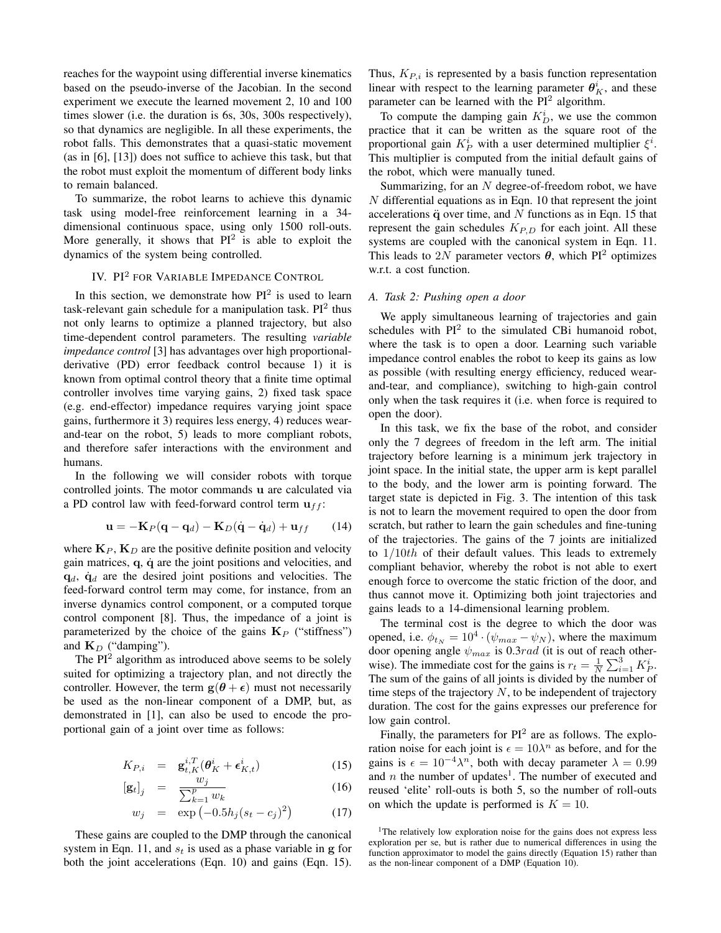reaches for the waypoint using differential inverse kinematics based on the pseudo-inverse of the Jacobian. In the second experiment we execute the learned movement 2, 10 and 100 times slower (i.e. the duration is 6s, 30s, 300s respectively), so that dynamics are negligible. In all these experiments, the robot falls. This demonstrates that a quasi-static movement (as in [6], [13]) does not suffice to achieve this task, but that the robot must exploit the momentum of different body links to remain balanced.

To summarize, the robot learns to achieve this dynamic task using model-free reinforcement learning in a 34 dimensional continuous space, using only 1500 roll-outs. More generally, it shows that  $PI^2$  is able to exploit the dynamics of the system being controlled.

# IV. PI<sup>2</sup> FOR VARIABLE IMPEDANCE CONTROL

In this section, we demonstrate how  $PI^2$  is used to learn task-relevant gain schedule for a manipulation task.  $PI^2$  thus not only learns to optimize a planned trajectory, but also time-dependent control parameters. The resulting *variable impedance control* [3] has advantages over high proportionalderivative (PD) error feedback control because 1) it is known from optimal control theory that a finite time optimal controller involves time varying gains, 2) fixed task space (e.g. end-effector) impedance requires varying joint space gains, furthermore it 3) requires less energy, 4) reduces wearand-tear on the robot, 5) leads to more compliant robots, and therefore safer interactions with the environment and humans.

In the following we will consider robots with torque controlled joints. The motor commands u are calculated via a PD control law with feed-forward control term  $\mathbf{u}_{ff}$ :

$$
\mathbf{u} = -\mathbf{K}_P(\mathbf{q} - \mathbf{q}_d) - \mathbf{K}_D(\dot{\mathbf{q}} - \dot{\mathbf{q}}_d) + \mathbf{u}_{ff} \qquad (14)
$$

where  $\mathbf{K}_P$ ,  $\mathbf{K}_D$  are the positive definite position and velocity gain matrices,  $q$ ,  $\dot{q}$  are the joint positions and velocities, and  $q_d$ ,  $\dot{q}_d$  are the desired joint positions and velocities. The feed-forward control term may come, for instance, from an inverse dynamics control component, or a computed torque control component [8]. Thus, the impedance of a joint is parameterized by the choice of the gains  $\mathbf{K}_P$  ("stiffness") and  $K_D$  ("damping").

The  $PI<sup>2</sup>$  algorithm as introduced above seems to be solely suited for optimizing a trajectory plan, and not directly the controller. However, the term  $g(\theta + \epsilon)$  must not necessarily be used as the non-linear component of a DMP, but, as demonstrated in [1], can also be used to encode the proportional gain of a joint over time as follows:

$$
K_{P,i} = \mathbf{g}_{t,K}^{i,T}(\boldsymbol{\theta}_K^i + \boldsymbol{\epsilon}_{K,t}^i)
$$
 (15)

$$
\left[\mathbf{g}_t\right]_j = \frac{w_j}{\sum_{k=1}^p w_k} \tag{16}
$$

$$
w_j = \exp(-0.5h_j(s_t - c_j)^2)
$$
 (17)

These gains are coupled to the DMP through the canonical system in Eqn. 11, and  $s_t$  is used as a phase variable in g for both the joint accelerations (Eqn. 10) and gains (Eqn. 15).

Thus,  $K_{P,i}$  is represented by a basis function representation linear with respect to the learning parameter  $\theta_K^i$ , and these parameter can be learned with the  $PI^2$  algorithm.

To compute the damping gain  $K_D^i$ , we use the common practice that it can be written as the square root of the proportional gain  $K_P^i$  with a user determined multiplier  $\xi^i$ . This multiplier is computed from the initial default gains of the robot, which were manually tuned.

Summarizing, for an  $N$  degree-of-freedom robot, we have N differential equations as in Eqn. 10 that represent the joint accelerations  $\ddot{q}$  over time, and N functions as in Eqn. 15 that represent the gain schedules  $K_{P,D}$  for each joint. All these systems are coupled with the canonical system in Eqn. 11. This leads to 2N parameter vectors  $\theta$ , which PI<sup>2</sup> optimizes w.r.t. a cost function.

## *A. Task 2: Pushing open a door*

We apply simultaneous learning of trajectories and gain schedules with  $PI^2$  to the simulated CBi humanoid robot, where the task is to open a door. Learning such variable impedance control enables the robot to keep its gains as low as possible (with resulting energy efficiency, reduced wearand-tear, and compliance), switching to high-gain control only when the task requires it (i.e. when force is required to open the door).

In this task, we fix the base of the robot, and consider only the 7 degrees of freedom in the left arm. The initial trajectory before learning is a minimum jerk trajectory in joint space. In the initial state, the upper arm is kept parallel to the body, and the lower arm is pointing forward. The target state is depicted in Fig. 3. The intention of this task is not to learn the movement required to open the door from scratch, but rather to learn the gain schedules and fine-tuning of the trajectories. The gains of the 7 joints are initialized to  $1/10$ th of their default values. This leads to extremely compliant behavior, whereby the robot is not able to exert enough force to overcome the static friction of the door, and thus cannot move it. Optimizing both joint trajectories and gains leads to a 14-dimensional learning problem.

The terminal cost is the degree to which the door was opened, i.e.  $\phi_{t_N} = 10^4 \cdot (\psi_{max} - \psi_N)$ , where the maximum door opening angle  $\psi_{max}$  is 0.3rad (it is out of reach otherwise). The immediate cost for the gains is  $r_t = \frac{1}{N} \sum_{i=1}^{3} K_P^i$ . The sum of the gains of all joints is divided by the number of time steps of the trajectory  $N$ , to be independent of trajectory duration. The cost for the gains expresses our preference for low gain control.

Finally, the parameters for  $PI^2$  are as follows. The exploration noise for each joint is  $\epsilon = 10\lambda^n$  as before, and for the gains is  $\epsilon = 10^{-4} \lambda^n$ , both with decay parameter  $\lambda = 0.99$ and  $n$  the number of updates<sup>1</sup>. The number of executed and reused 'elite' roll-outs is both 5, so the number of roll-outs on which the update is performed is  $K = 10$ .

<sup>&</sup>lt;sup>1</sup>The relatively low exploration noise for the gains does not express less exploration per se, but is rather due to numerical differences in using the function approximator to model the gains directly (Equation 15) rather than as the non-linear component of a DMP (Equation 10).